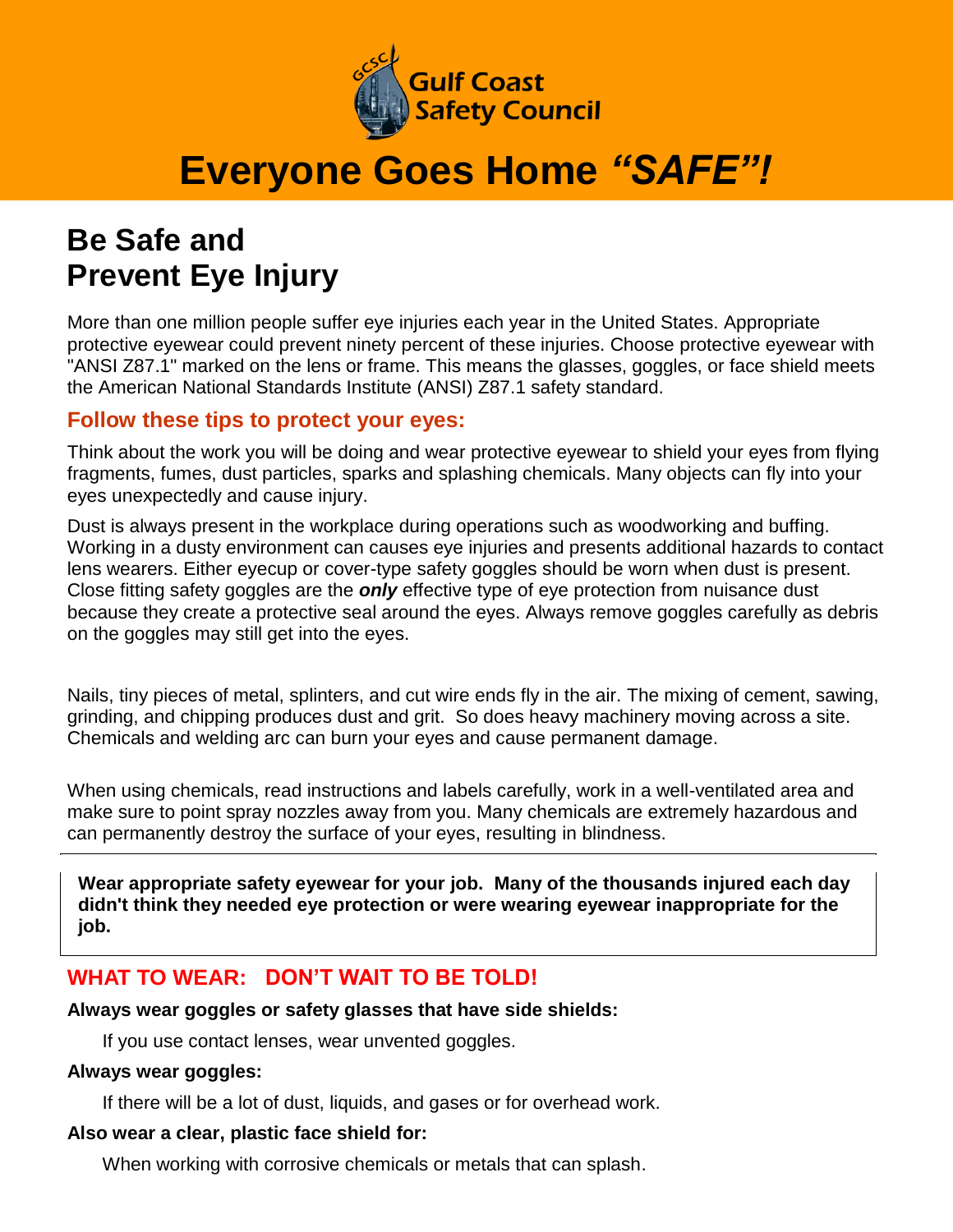

# **Everyone Goes Home** *"SAFE"!*

## **Be Safe and Prevent Eye Injury**

More than one million people suffer eye injuries each year in the United States. Appropriate protective eyewear could prevent ninety percent of these injuries. Choose protective eyewear with "ANSI Z87.1" marked on the lens or frame. This means the glasses, goggles, or face shield meets the American National Standards Institute (ANSI) Z87.1 safety standard.

#### **Follow these tips to protect your eyes:**

Think about the work you will be doing and wear protective eyewear to shield your eyes from flying fragments, fumes, dust particles, sparks and splashing chemicals. Many objects can fly into your eyes unexpectedly and cause injury.

Dust is always present in the workplace during operations such as woodworking and buffing. Working in a dusty environment can causes eye injuries and presents additional hazards to contact lens wearers. Either eyecup or cover-type safety goggles should be worn when dust is present. Close fitting safety goggles are the *only* effective type of eye protection from nuisance dust because they create a protective seal around the eyes. Always remove goggles carefully as debris on the goggles may still get into the eyes.

Nails, tiny pieces of metal, splinters, and cut wire ends fly in the air. The mixing of cement, sawing, grinding, and chipping produces dust and grit. So does heavy machinery moving across a site. Chemicals and welding arc can burn your eyes and cause permanent damage.

When using chemicals, read instructions and labels carefully, work in a well-ventilated area and make sure to point spray nozzles away from you. Many chemicals are extremely hazardous and can permanently destroy the surface of your eyes, resulting in blindness.

**Wear appropriate safety eyewear for your job. Many of the thousands injured each day didn't think they needed eye protection or were wearing eyewear inappropriate for the job.**

### **WHAT TO WEAR: DON'T WAIT TO BE TOLD!**

**Always wear goggles or safety glasses that have side shields:**

If you use contact lenses, wear unvented goggles.

#### **Always wear goggles:**

If there will be a lot of dust, liquids, and gases or for overhead work.

#### **Also wear a clear, plastic face shield for:**

When working with corrosive chemicals or metals that can splash.